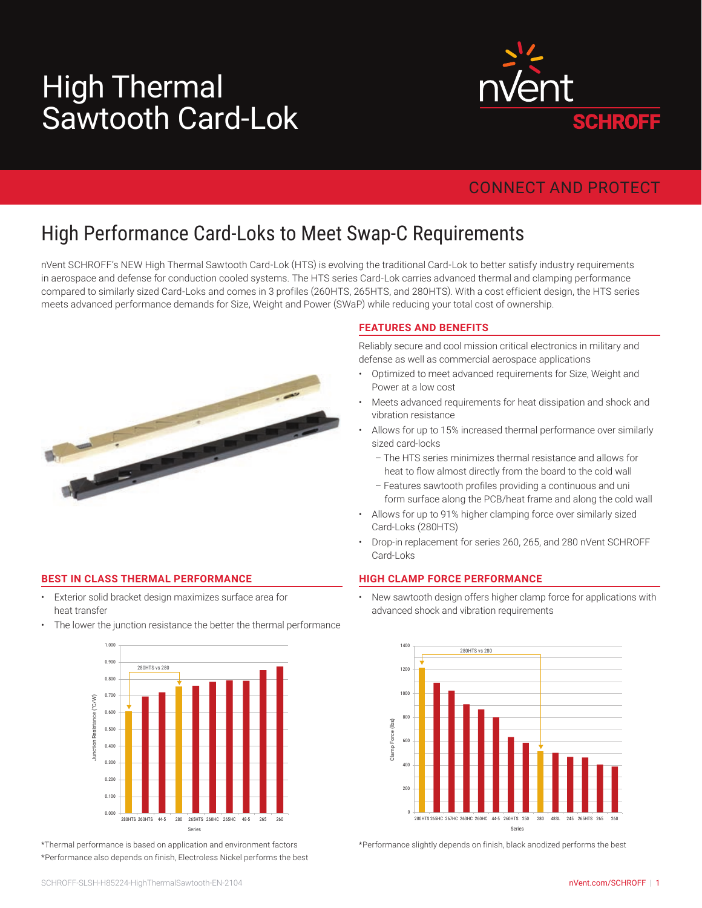# Sawtooth Card-Lok High Thermal



### CONNECT AND PROTECT

## High Performance Card-Loks to Meet Swap-C Requirements

nVent SCHROFF's NEW High Thermal Sawtooth Card-Lok (HTS) is evolving the traditional Card-Lok to better satisfy industry requirements in aerospace and defense for conduction cooled systems. The HTS series Card-Lok carries advanced thermal and clamping performance compared to similarly sized Card-Loks and comes in 3 profiles (260HTS, 265HTS, and 280HTS). With a cost efficient design, the HTS series meets advanced performance demands for Size, Weight and Power (SWaP) while reducing your total cost of ownership.



#### **BEST IN CLASS THERMAL PERFORMANCE**

- Exterior solid bracket design maximizes surface area for heat transfer
- The lower the junction resistance the better the thermal performance



\*Thermal performance is based on application and environment factors \*Performance also depends on finish, Electroless Nickel performs the best

#### **FEATURES AND BENEFITS**

Reliably secure and cool mission critical electronics in military and defense as well as commercial aerospace applications

- Optimized to meet advanced requirements for Size, Weight and Power at a low cost
- Meets advanced requirements for heat dissipation and shock and vibration resistance
- Allows for up to 15% increased thermal performance over similarly sized card-locks
	- The HTS series minimizes thermal resistance and allows for heat to flow almost directly from the board to the cold wall
	- Features sawtooth profiles providing a continuous and uni form surface along the PCB/heat frame and along the cold wall
- Allows for up to 91% higher clamping force over similarly sized Card-Loks (280HTS)
- Drop-in replacement for series 260, 265, and 280 nVent SCHROFF Card-Loks

#### **HIGH CLAMP FORCE PERFORMANCE**

• New sawtooth design offers higher clamp force for applications with advanced shock and vibration requirements



\*Performance slightly depends on finish, black anodized performs the best